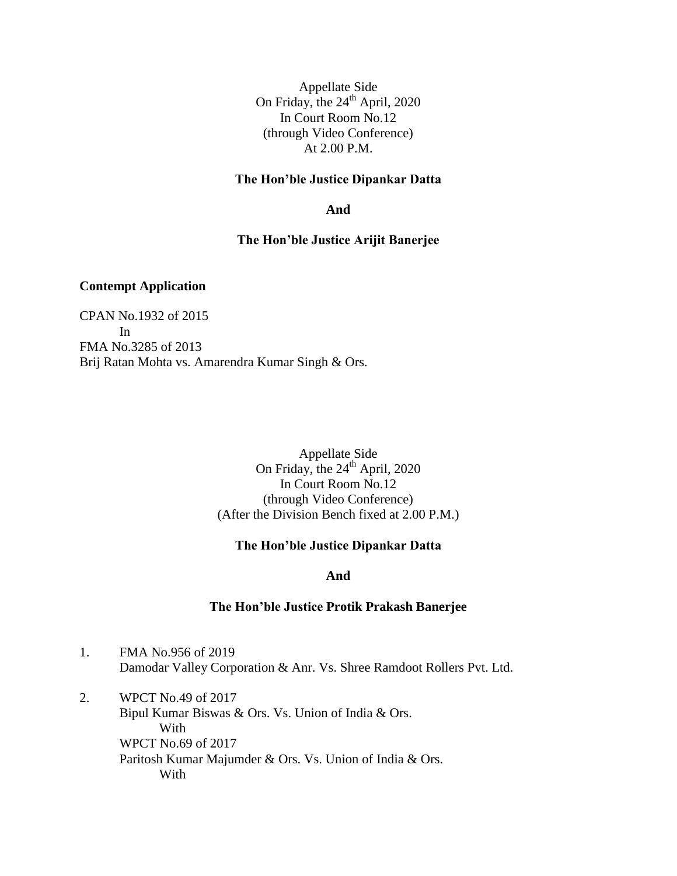Appellate Side On Friday, the  $24<sup>th</sup>$  April, 2020 In Court Room No.12 (through Video Conference) At 2.00 P.M.

#### **The Hon'ble Justice Dipankar Datta**

**And**

### **The Hon'ble Justice Arijit Banerjee**

## **Contempt Application**

CPAN No.1932 of 2015 In FMA No.3285 of 2013 Brij Ratan Mohta vs. Amarendra Kumar Singh & Ors.

> Appellate Side On Friday, the  $24<sup>th</sup>$  April, 2020 In Court Room No.12 (through Video Conference) (After the Division Bench fixed at 2.00 P.M.)

#### **The Hon'ble Justice Dipankar Datta**

**And**

#### **The Hon'ble Justice Protik Prakash Banerjee**

- 1. FMA No.956 of 2019 Damodar Valley Corporation & Anr. Vs. Shree Ramdoot Rollers Pvt. Ltd.
- 2. WPCT No.49 of 2017 Bipul Kumar Biswas & Ors. Vs. Union of India & Ors. With WPCT No.69 of 2017 Paritosh Kumar Majumder & Ors. Vs. Union of India & Ors. With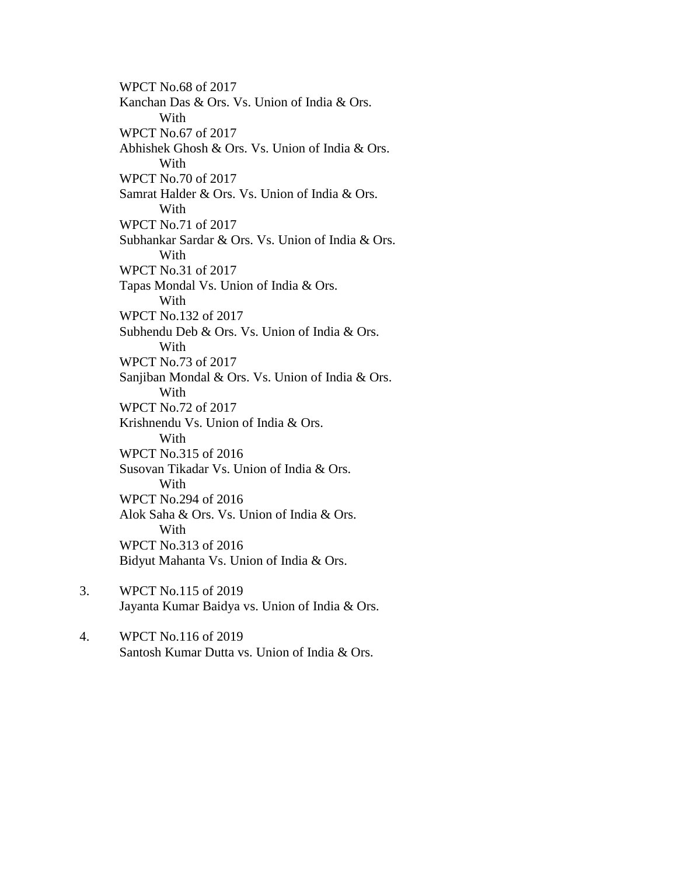WPCT No.68 of 2017 Kanchan Das & Ors. Vs. Union of India & Ors. With WPCT No.67 of 2017 Abhishek Ghosh & Ors. Vs. Union of India & Ors. With WPCT No.70 of 2017 Samrat Halder & Ors. Vs. Union of India & Ors. With WPCT No.71 of 2017 Subhankar Sardar & Ors. Vs. Union of India & Ors. With WPCT No.31 of 2017 Tapas Mondal Vs. Union of India & Ors. With WPCT No.132 of 2017 Subhendu Deb & Ors. Vs. Union of India & Ors. With WPCT No.73 of 2017 Sanjiban Mondal & Ors. Vs. Union of India & Ors. With WPCT No.72 of 2017 Krishnendu Vs. Union of India & Ors. With WPCT No.315 of 2016 Susovan Tikadar Vs. Union of India & Ors. With WPCT No.294 of 2016 Alok Saha & Ors. Vs. Union of India & Ors. With WPCT No.313 of 2016 Bidyut Mahanta Vs. Union of India & Ors.

- 3. WPCT No.115 of 2019 Jayanta Kumar Baidya vs. Union of India & Ors.
- 4. WPCT No.116 of 2019 Santosh Kumar Dutta vs. Union of India & Ors.